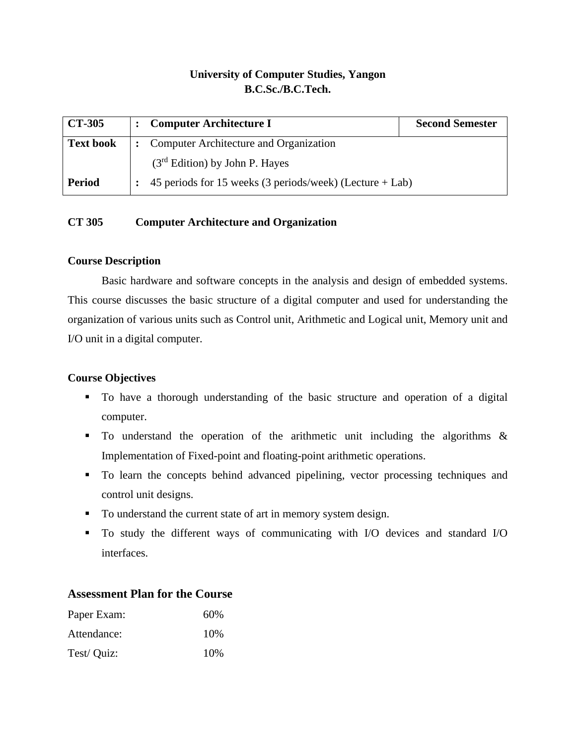## **University of Computer Studies, Yangon B.C.Sc./B.C.Tech.**

| <b>CT-305</b>    | <b>Computer Architecture I</b>                                  | <b>Second Semester</b> |
|------------------|-----------------------------------------------------------------|------------------------|
| <b>Text book</b> | <b>Computer Architecture and Organization</b><br>$\ddot{\cdot}$ |                        |
|                  | $(3rd Edition)$ by John P. Hayes                                |                        |
| <b>Period</b>    | 45 periods for 15 weeks (3 periods/week) (Lecture $+$ Lab)      |                        |

## **CT 305 Computer Architecture and Organization**

#### **Course Description**

Basic hardware and software concepts in the analysis and design of embedded systems. This course discusses the basic structure of a digital computer and used for understanding the organization of various units such as Control unit, Arithmetic and Logical unit, Memory unit and I/O unit in a digital computer.

## **Course Objectives**

- To have a thorough understanding of the basic structure and operation of a digital computer.
- To understand the operation of the arithmetic unit including the algorithms & Implementation of Fixed-point and floating-point arithmetic operations.
- To learn the concepts behind advanced pipelining, vector processing techniques and control unit designs.
- To understand the current state of art in memory system design.
- To study the different ways of communicating with I/O devices and standard I/O interfaces.

#### **Assessment Plan for the Course**

| Paper Exam: | 60%  |
|-------------|------|
| Attendance: | 10%  |
| Test/ Quiz: | 10\% |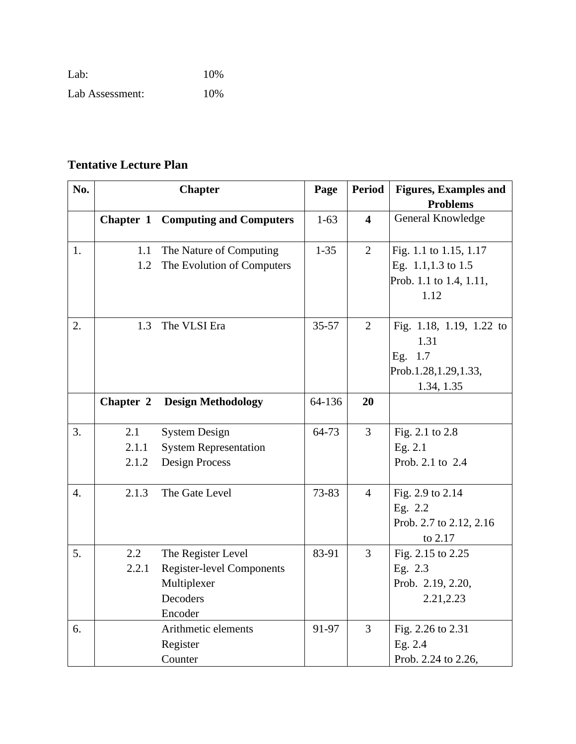| Lab:            | 10% |
|-----------------|-----|
| Lab Assessment: | 10% |

# **Tentative Lecture Plan**

| No.              |           | <b>Chapter</b>                           | Page      | <b>Period</b>           | <b>Figures, Examples and</b> |
|------------------|-----------|------------------------------------------|-----------|-------------------------|------------------------------|
|                  |           |                                          |           |                         | <b>Problems</b>              |
|                  |           | <b>Chapter 1 Computing and Computers</b> | $1 - 63$  | $\overline{\mathbf{4}}$ | General Knowledge            |
| 1.               | 1.1       | The Nature of Computing                  | $1 - 35$  | $\overline{2}$          | Fig. 1.1 to 1.15, 1.17       |
|                  | 1.2       | The Evolution of Computers               |           |                         | Eg. 1.1,1.3 to 1.5           |
|                  |           |                                          |           |                         | Prob. 1.1 to 1.4, 1.11,      |
|                  |           |                                          |           |                         | 1.12                         |
| 2.               | 1.3       | The VLSI Era                             | $35 - 57$ | 2                       | Fig. 1.18, 1.19, 1.22 to     |
|                  |           |                                          |           |                         | 1.31                         |
|                  |           |                                          |           |                         | Eg. 1.7                      |
|                  |           |                                          |           |                         | Prob.1.28, 1.29, 1.33,       |
|                  |           |                                          |           |                         | 1.34, 1.35                   |
|                  | Chapter 2 | <b>Design Methodology</b>                | 64-136    | 20                      |                              |
| 3.               | 2.1       | <b>System Design</b>                     | 64-73     | 3                       | Fig. 2.1 to 2.8              |
|                  | 2.1.1     | <b>System Representation</b>             |           |                         | Eg. 2.1                      |
|                  | 2.1.2     | <b>Design Process</b>                    |           |                         | Prob. 2.1 to 2.4             |
|                  |           |                                          |           |                         |                              |
| $\overline{4}$ . | 2.1.3     | The Gate Level                           | 73-83     | $\overline{4}$          | Fig. 2.9 to 2.14             |
|                  |           |                                          |           |                         | Eg. 2.2                      |
|                  |           |                                          |           |                         | Prob. 2.7 to 2.12, 2.16      |
|                  |           |                                          |           |                         | to 2.17                      |
| 5.               | 2.2       | The Register Level                       | 83-91     | $\overline{3}$          | Fig. 2.15 to 2.25            |
|                  | 2.2.1     | <b>Register-level Components</b>         |           |                         | Eg. 2.3                      |
|                  |           | Multiplexer                              |           |                         | Prob. 2.19, 2.20,            |
|                  |           | Decoders                                 |           |                         | 2.21,2.23                    |
|                  |           | Encoder                                  |           |                         |                              |
| 6.               |           | Arithmetic elements                      | 91-97     | $\overline{3}$          | Fig. 2.26 to 2.31            |
|                  |           | Register                                 |           |                         | Eg. 2.4                      |
|                  |           | Counter                                  |           |                         | Prob. 2.24 to 2.26,          |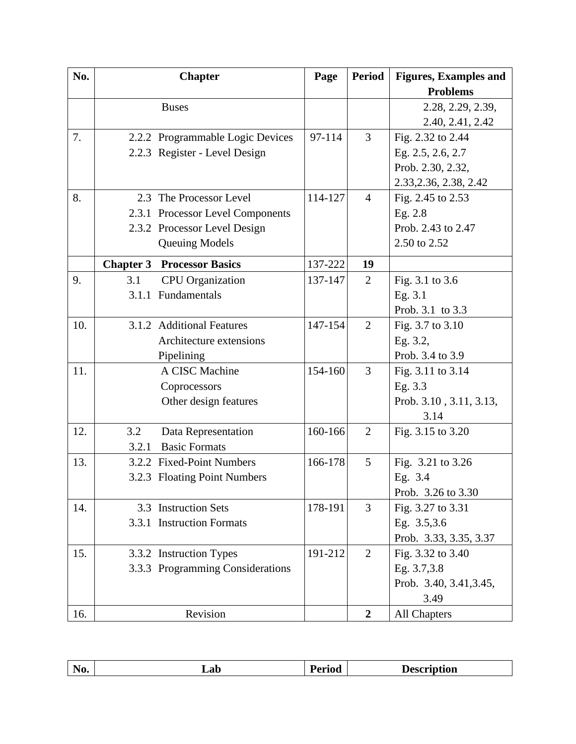| No. |       | <b>Chapter</b>                    | Page    | <b>Period</b>  | <b>Figures, Examples and</b> |
|-----|-------|-----------------------------------|---------|----------------|------------------------------|
|     |       |                                   |         |                | <b>Problems</b>              |
|     |       | <b>Buses</b>                      |         |                | 2.28, 2.29, 2.39,            |
|     |       |                                   |         |                | 2.40, 2.41, 2.42             |
| 7.  |       | 2.2.2 Programmable Logic Devices  | 97-114  | 3              | Fig. 2.32 to 2.44            |
|     |       | 2.2.3 Register - Level Design     |         |                | Eg. 2.5, 2.6, 2.7            |
|     |       |                                   |         |                | Prob. 2.30, 2.32,            |
|     |       |                                   |         |                | 2.33, 2.36, 2.38, 2.42       |
| 8.  |       | 2.3 The Processor Level           | 114-127 | $\overline{4}$ | Fig. 2.45 to 2.53            |
|     |       | 2.3.1 Processor Level Components  |         |                | Eg. 2.8                      |
|     |       | 2.3.2 Processor Level Design      |         |                | Prob. 2.43 to 2.47           |
|     |       | <b>Queuing Models</b>             |         |                | 2.50 to 2.52                 |
|     |       | <b>Chapter 3 Processor Basics</b> | 137-222 | 19             |                              |
| 9.  | 3.1   | <b>CPU</b> Organization           | 137-147 | 2              | Fig. 3.1 to 3.6              |
|     |       | 3.1.1 Fundamentals                |         |                | Eg. 3.1                      |
|     |       |                                   |         |                | Prob. 3.1 to 3.3             |
| 10. |       | 3.1.2 Additional Features         | 147-154 | $\overline{2}$ | Fig. 3.7 to 3.10             |
|     |       | Architecture extensions           |         |                | Eg. 3.2,                     |
|     |       | Pipelining                        |         |                | Prob. 3.4 to 3.9             |
| 11. |       | A CISC Machine                    | 154-160 | 3              | Fig. 3.11 to 3.14            |
|     |       | Coprocessors                      |         |                | Eg. 3.3                      |
|     |       | Other design features             |         |                | Prob. 3.10, 3.11, 3.13,      |
|     |       |                                   |         |                | 3.14                         |
| 12. | 3.2   | Data Representation               | 160-166 | $\overline{2}$ | Fig. 3.15 to 3.20            |
|     | 3.2.1 | <b>Basic Formats</b>              |         |                |                              |
| 13. |       | 3.2.2 Fixed-Point Numbers         | 166-178 | 5              | Fig. 3.21 to 3.26            |
|     |       | 3.2.3 Floating Point Numbers      |         |                | Eg. 3.4                      |
|     |       |                                   |         |                | Prob. 3.26 to 3.30           |
| 14. |       | 3.3 Instruction Sets              | 178-191 | 3              | Fig. 3.27 to 3.31            |
|     |       | 3.3.1 Instruction Formats         |         |                | Eg. 3.5,3.6                  |
|     |       |                                   |         |                | Prob. 3.33, 3.35, 3.37       |
| 15. |       | 3.3.2 Instruction Types           | 191-212 | $\overline{2}$ | Fig. 3.32 to 3.40            |
|     |       | 3.3.3 Programming Considerations  |         |                | Eg. 3.7,3.8                  |
|     |       |                                   |         |                | Prob. 3.40, 3.41, 3.45,      |
|     |       |                                   |         |                | 3.49                         |
| 16. |       | Revision                          |         | $\overline{2}$ | <b>All Chapters</b>          |

| $ -$<br>$\sim$ $\sim$ $\sim$ $\sim$ $\sim$ $\sim$<br>Lab<br>TAO.<br>лvп<br>$\mathbf{u}$<br>$   -$<br>___<br>_______ |  |
|---------------------------------------------------------------------------------------------------------------------|--|
|---------------------------------------------------------------------------------------------------------------------|--|